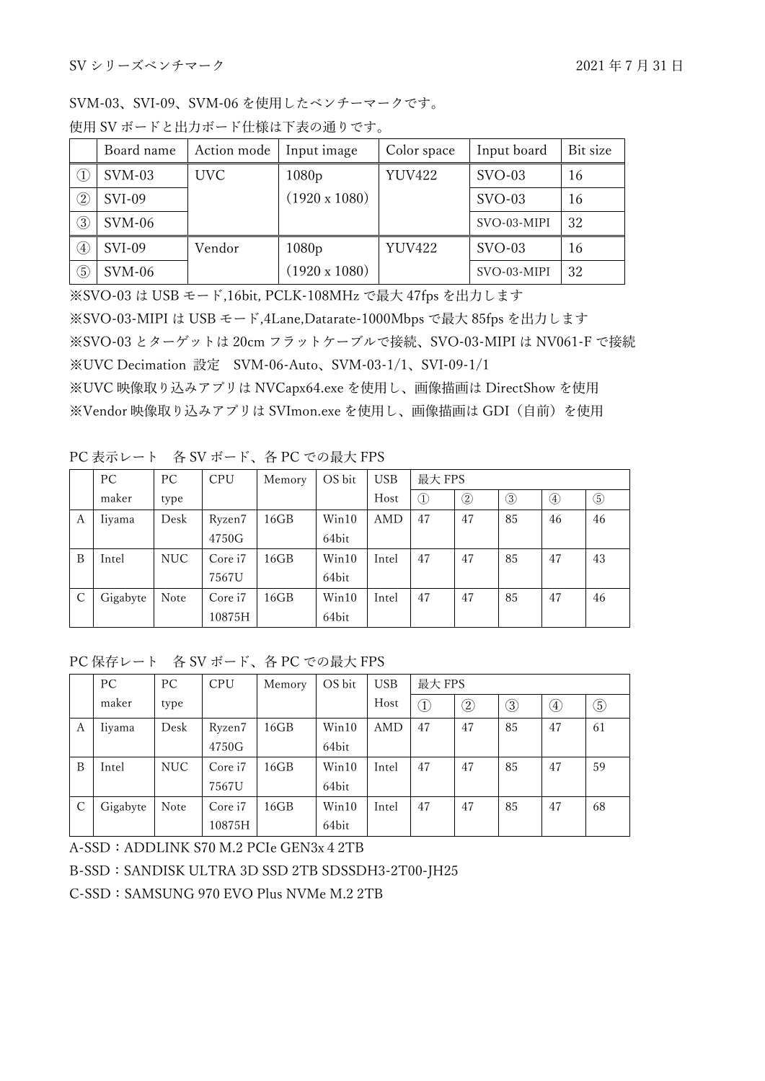SVM-03、SVI-09、SVM-06 を使用したベンチーマークです。 使用 SV ボードと出力ボード仕様は下表の通りです。

|                                | Board name    | Action mode | Input image          | Color space   | Input board | Bit size |
|--------------------------------|---------------|-------------|----------------------|---------------|-------------|----------|
| $\textcircled{\scriptsize{1}}$ | $SVM-03$      | <b>UVC</b>  | 1080p                | <b>YUV422</b> | $SVO-03$    | 16       |
| $\circled{2}$                  | <b>SVI-09</b> |             | $(1920 \times 1080)$ |               | $SVO-03$    | 16       |
| 3                              | $SVM-06$      |             |                      |               | SVO-03-MIPI | 32       |
| $\left( 4\right)$              | <b>SVI-09</b> | Vendor      | 1080p                | <b>YUV422</b> | $SVO-03$    | 16       |
| 5                              | $SVM-06$      |             | $(1920 \times 1080)$ |               | SVO-03-MIPI | 32       |

※SVO-03 は USB モード,16bit, PCLK-108MHz で最大 47fps を出力します ※SVO-03-MIPI は USB モード,4Lane,Datarate-1000Mbps で最大 85fps を出力します ※SVO-03 とターゲットは 20cm フラットケーブルで接続、SVO-03-MIPI は NV061-F で接続 ※UVC Decimation 設定 SVM-06-Auto、SVM-03-1/1、SVI-09-1/1 ※UVC 映像取り込みアプリは NVCapx64.exe を使用し、画像描画は DirectShow を使用 ※Vendor 映像取り込みアプリは SVImon.exe を使用し、画像描画は GDI(自前)を使用

PC 表示レート 各 SV ボード、各 PC での最大 FPS

|   | PC       | PC         | <b>CPU</b> | Memory | OS bit | <b>USB</b> | 最大 FPS |                                      |                                         |    |             |
|---|----------|------------|------------|--------|--------|------------|--------|--------------------------------------|-----------------------------------------|----|-------------|
|   | maker    | type       |            |        |        | Host       | I      | $^{\small{\textcircled{\small{2}}}}$ | $_{\tiny \textcircled{\scriptsize{3}}}$ | ④  | $\circledS$ |
| А | Iiyama   | Desk       | Ryzen7     | 16GB   | Win10  | AMD        | 47     | 47                                   | 85                                      | 46 | 46          |
|   |          |            | 4750G      |        | 64bit  |            |        |                                      |                                         |    |             |
| B | Intel    | <b>NUC</b> | Core i7    | 16GB   | Win10  | Intel      | 47     | 47                                   | 85                                      | 47 | 43          |
|   |          |            | 7567U      |        | 64bit  |            |        |                                      |                                         |    |             |
| C | Gigabyte | Note       | Core i7    | 16GB   | Win10  | Intel      | 47     | 47                                   | 85                                      | 47 | 46          |
|   |          |            | 10875H     |        | 64bit  |            |        |                                      |                                         |    |             |

PC 保存レート 各 SV ボード、各 PC での最大 FPS

|   | PC       | PC   | <b>CPU</b> | Memory | OS bit | <b>USB</b> | 最大 FPS |                                                      |    |              |             |
|---|----------|------|------------|--------|--------|------------|--------|------------------------------------------------------|----|--------------|-------------|
|   | maker    | type |            |        |        | Host       | T,     | $\mathcal{2}% _{k=1}^{2\mathcal{N}}(\mathbb{Z}_{k})$ | 3  | $_{\rm (4)}$ | $\circledS$ |
| A | liyama   | Desk | Ryzen7     | 16GB   | Win10  | AMD        | 47     | 47                                                   | 85 | 47           | 61          |
|   |          |      | 4750G      |        | 64bit  |            |        |                                                      |    |              |             |
| B | Intel    | NUC  | Core i7    | 16GB   | Win10  | Intel      | 47     | 47                                                   | 85 | 47           | 59          |
|   |          |      | 7567U      |        | 64bit  |            |        |                                                      |    |              |             |
| C | Gigabyte | Note | Core i7    | 16GB   | Win10  | Intel      | 47     | 47                                                   | 85 | 47           | 68          |
|   |          |      | 10875H     |        | 64bit  |            |        |                                                      |    |              |             |

A-SSD:ADDLINK S70 M.2 PCIe GEN3x42TB

## B-SSD: SANDISK ULTRA 3D SSD 2TB SDSSDH3-2T00-JH25

C-SSD: SAMSUNG 970 EVO Plus NVMe M.2 2TB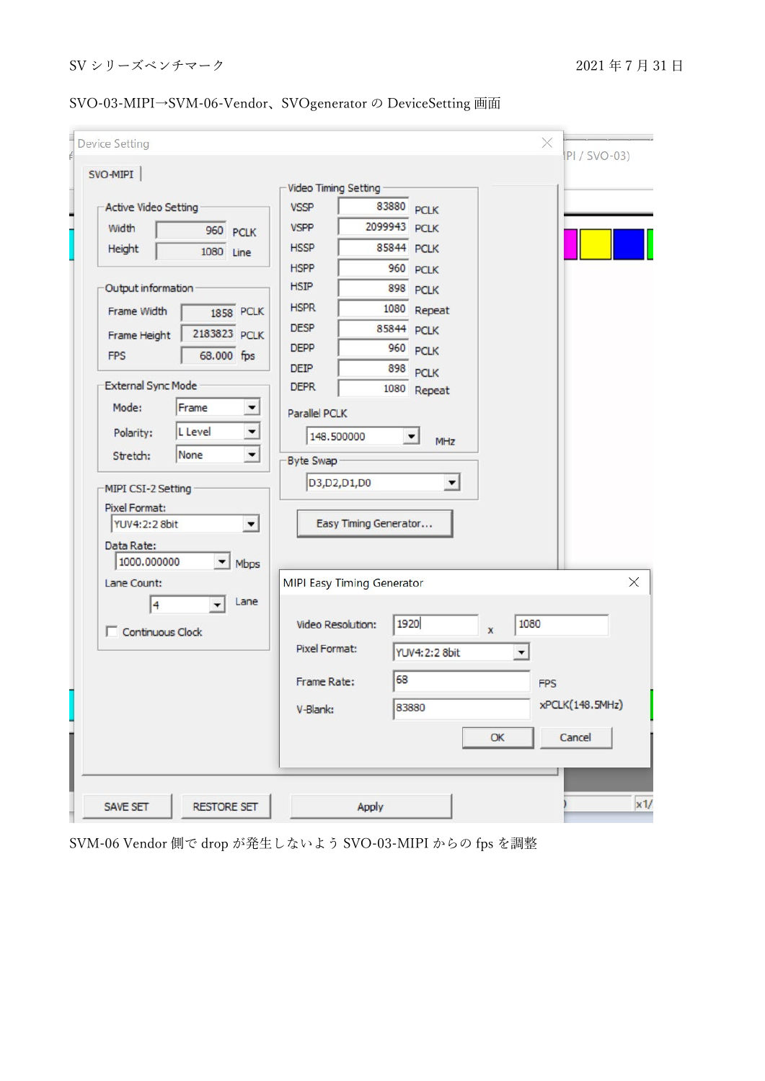| SVO-MIPI                                         |                                   |                        |           | $IPI / SVO-03)$ |
|--------------------------------------------------|-----------------------------------|------------------------|-----------|-----------------|
|                                                  | <b>Video Timing Setting</b>       |                        |           |                 |
| <b>Active Video Setting</b>                      | <b>VSSP</b>                       | 83880<br><b>PCLK</b>   |           |                 |
| Width<br>960 PCLK                                | <b>VSPP</b>                       | 2099943<br><b>PCLK</b> |           |                 |
| Height<br>1080 Line                              | <b>HSSP</b>                       | 85844 PCLK             |           |                 |
|                                                  | <b>HSPP</b>                       | 960<br><b>PCLK</b>     |           |                 |
| Output information                               | <b>HSIP</b>                       | 898<br><b>PCLK</b>     |           |                 |
| <b>Frame Width</b><br><b>1858 PCLK</b>           | <b>HSPR</b>                       | 1080<br>Repeat         |           |                 |
| 2183823 PCLK<br>Frame Height                     | <b>DESP</b>                       | 85844<br><b>PCLK</b>   |           |                 |
| 68.000 fps<br><b>FPS</b>                         | <b>DEPP</b>                       | 960<br><b>PCLK</b>     |           |                 |
|                                                  | <b>DEIP</b>                       | 898<br><b>PCLK</b>     |           |                 |
| <b>External Sync Mode</b>                        | <b>DEPR</b>                       | 1080<br>Repeat         |           |                 |
| Mode:<br>Frame<br>≛                              | Parallel PCLK                     |                        |           |                 |
| $\overline{\phantom{a}}$<br>L Level<br>Polarity: | 148.500000                        | MHz                    |           |                 |
| None<br>$\overline{\phantom{a}}$<br>Stretch:     | Byte Swap                         |                        |           |                 |
| MIPI CSI-2 Setting                               | D3,D2,D1,D0                       | ▼                      |           |                 |
| Pixel Format:                                    |                                   |                        |           |                 |
| YUV4:2:2 8bit<br>$\blacktriangledown$            | Easy Timing Generator             |                        |           |                 |
| Data Rate:                                       |                                   |                        |           |                 |
| 1000.000000<br>Mbps<br>▼                         |                                   |                        |           |                 |
| Lane Count:                                      | <b>MIPI Easy Timing Generator</b> |                        |           |                 |
| Lane<br>4                                        |                                   |                        |           |                 |
| Continuous Clock                                 | Video Resolution:                 | 1920                   | 1080<br>x |                 |
|                                                  | <b>Pixel Format:</b>              | <b>YUV4:2:2 8bit</b>   |           |                 |
|                                                  |                                   |                        |           |                 |
|                                                  | Frame Rate:                       | 68                     |           | <b>FPS</b>      |
|                                                  | V-Blank:                          | 83880                  |           | xPCLK(148.5MHz) |
|                                                  |                                   |                        | OK        | Cancel          |
|                                                  |                                   |                        |           |                 |
|                                                  |                                   |                        |           |                 |

SVO-03-MIPI→SVM-06-Vendor、SVOgenerator の DeviceSetting 画面

SVM-06 Vendor 側で drop が発生しないよう SVO-03-MIPI からの fps を調整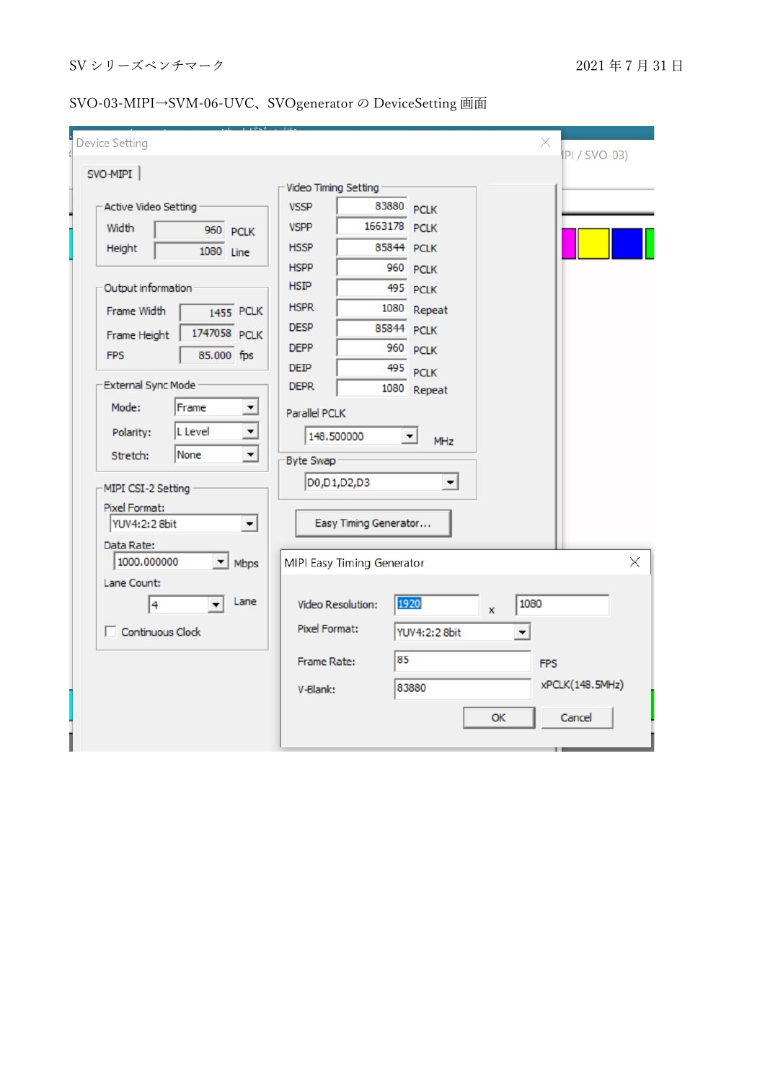## SVO-03-MIPI→SVM-06-UVC、SVOgenerator の DeviceSetting 画面

| SVO-MIPI                                    |                          |                                   |                       |                      |              |      | IPI / SVO-03)   |
|---------------------------------------------|--------------------------|-----------------------------------|-----------------------|----------------------|--------------|------|-----------------|
|                                             |                          | <b>Video Timing Setting</b>       |                       |                      |              |      |                 |
| Active Video Setting                        |                          | <b>VSSP</b>                       | 83880 PCLK            |                      |              |      |                 |
| Width                                       | 960 PCLK                 | <b>VSPP</b>                       | 1663178 PCLK          |                      |              |      |                 |
| Height                                      | 1080 Line                | <b>HSSP</b>                       | 85844 PCLK            |                      |              |      |                 |
|                                             |                          | <b>HSPP</b>                       |                       | 960 PCLK             |              |      |                 |
| Output information                          |                          | <b>HSIP</b>                       |                       | 495 PCLK             |              |      |                 |
| Frame Width                                 | 1455 PCLK                | <b>HSPR</b>                       | 1080                  | Repeat               |              |      |                 |
| Frame Height                                | 1747058 PCLK             | <b>DESP</b>                       | 85844                 | <b>PCLK</b>          |              |      |                 |
| <b>FPS</b>                                  | 85.000 fps               | <b>DEPP</b>                       | 960                   | <b>PCLK</b>          |              |      |                 |
|                                             |                          | <b>DEIP</b>                       | 495                   | <b>PCLK</b>          |              |      |                 |
| <b>External Sync Mode</b>                   |                          | <b>DEPR</b>                       |                       | 1080 Repeat          |              |      |                 |
| Mode:<br>Frame                              | ▼                        | <b>Parallel PCLK</b>              |                       |                      |              |      |                 |
| L Level<br>Polarity:                        | $\overline{\phantom{0}}$ | 148.500000                        |                       | $\blacktriangledown$ |              |      |                 |
| None<br>Stretch:                            | $\blacktriangledown$     |                                   |                       | MHz                  |              |      |                 |
|                                             |                          | Byte Swap                         |                       |                      |              |      |                 |
| MIPI CSI-2 Setting                          |                          | D0, D1, D2, D3                    |                       | $\blacktriangledown$ |              |      |                 |
| Pixel Format:                               |                          |                                   |                       |                      |              |      |                 |
| YUV4:2:2 8bit                               | $\blacktriangledown$     |                                   | Easy Timing Generator |                      |              |      |                 |
| Data Rate:                                  |                          |                                   |                       |                      |              |      |                 |
| 1000.000000                                 | Mbps                     | <b>MIPI Easy Timing Generator</b> |                       |                      |              |      |                 |
| Lane Count:                                 |                          |                                   |                       |                      |              |      |                 |
| $\ddot{\mathbf{4}}$<br>$\blacktriangledown$ | Lane                     | Video Resolution:                 |                       | 1920                 | $\mathbf{x}$ | 1080 |                 |
| Continuous Clock                            |                          | Pixel Format:                     |                       | YUV4:2:2 8bit        |              | ▼    |                 |
|                                             |                          |                                   | 85                    |                      |              |      |                 |
|                                             |                          | Frame Rate:                       |                       |                      |              |      | <b>FPS</b>      |
|                                             |                          | V-Blank:                          |                       | 83880                |              |      | xPCLK(148.5MHz) |
|                                             |                          |                                   |                       |                      | OK           |      | Cancel          |